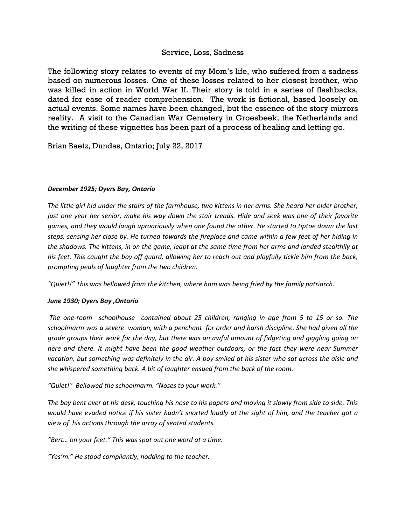## Service, Loss, Sadness

The following story relates to events of my Mom's life, who suffered from a sadness based on numerous losses. One of these losses related to her closest brother, who was killed in action in World War II. Their story is told in a series of flashbacks, dated for ease of reader comprehension. The work is fictional, based loosely on actual events. Some names have been changed, but the essence of the story mirrors reality. A visit to the Canadian War Cemetery in Groesbeek, the Netherlands and the writing of these vignettes has been part of a process of healing and letting go.

Brian Baetz, Dundas, Ontario; July 22, 2017

#### *December 1925; Dyers Bay, Ontario*

*The little girl hid under the stairs of the farmhouse, two kittens in her arms. She heard her older brother, just one year her senior, make his way down the stair treads. Hide and seek was one of their favorite games, and they would laugh uproariously when one found the other. He started to tiptoe down the last steps, sensing her close by. He turned towards the fireplace and came within a few feet of her hiding in the shadows. The kittens, in on the game, leapt at the same time from her arms and landed stealthily at his feet. This caught the boy off guard, allowing her to reach out and playfully tickle him from the back, prompting peals of laughter from the two children.*

*"Quiet!!" This was bellowed from the kitchen, where ham was being fried by the family patriarch.*

### *June 1930; Dyers Bay ,Ontario*

*The one-room schoolhouse contained about 25 children, ranging in age from 5 to 15 or so. The schoolmarm was a severe woman, with a penchant for order and harsh discipline. She had given all the grade groups their work for the day, but there was an awful amount of fidgeting and giggling going on here and there. It might have been the good weather outdoors, or the fact they were near Summer vacation, but something was definitely in the air. A boy smiled at his sister who sat across the aisle and she whispered something back. A bit of laughter ensued from the back of the room.*

*"Quiet!" Bellowed the schoolmarm. "Noses to your work."*

*The boy bent over at his desk, touching his nose to his papers and moving it slowly from side to side. This would have evaded notice if his sister hadn't snorted loudly at the sight of him, and the teacher got a view of his actions through the array of seated students.*

*"Bert… on your feet." This was spat out one word at a time.*

*"Yes'm." He stood compliantly, nodding to the teacher.*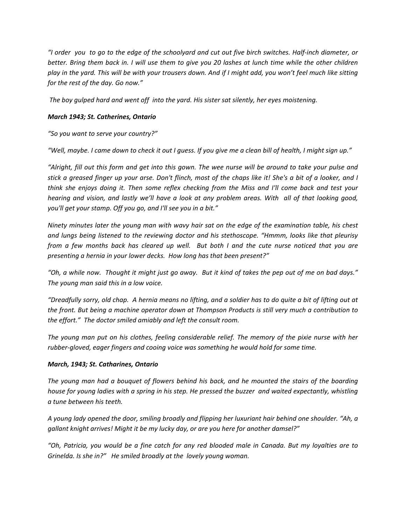*"I order you to go to the edge of the schoolyard and cut out five birch switches. Half-inch diameter, or better. Bring them back in. I will use them to give you 20 lashes at lunch time while the other children play in the yard. This will be with your trousers down. And if I might add, you won't feel much like sitting for the rest of the day. Go now."*

*The boy gulped hard and went off into the yard. His sister sat silently, her eyes moistening.*

## *March 1943; St. Catherines, Ontario*

*"So you want to serve your country?"*

*"Well, maybe. I came down to check it out I guess. If you give me a clean bill of health, I might sign up."*

*"Alright, fill out this form and get into this gown. The wee nurse will be around to take your pulse and stick a greased finger up your arse. Don't flinch, most of the chaps like it! She's a bit of a looker, and I think she enjoys doing it. Then some reflex checking from the Miss and I'll come back and test your hearing and vision, and lastly we'll have a look at any problem areas. With all of that looking good, you'll get your stamp. Off you go, and I'll see you in a bit."*

*Ninety minutes later the young man with wavy hair sat on the edge of the examination table, his chest and lungs being listened to the reviewing doctor and his stethoscope. "Hmmm, looks like that pleurisy from a few months back has cleared up well. But both I and the cute nurse noticed that you are presenting a hernia in your lower decks. How long has that been present?"*

*"Oh, a while now. Thought it might just go away. But it kind of takes the pep out of me on bad days." The young man said this in a low voice.*

*"Dreadfully sorry, old chap. A hernia means no lifting, and a soldier has to do quite a bit of lifting out at the front. But being a machine operator down at Thompson Products is still very much a contribution to the effort." The doctor smiled amiably and left the consult room.*

*The young man put on his clothes, feeling considerable relief. The memory of the pixie nurse with her rubber-gloved, eager fingers and cooing voice was something he would hold for some time.*

### *March, 1943; St. Catharines, Ontario*

*The young man had a bouquet of flowers behind his back, and he mounted the stairs of the boarding house for young ladies with a spring in his step. He pressed the buzzer and waited expectantly, whistling a tune between his teeth.*

*A young lady opened the door, smiling broadly and flipping her luxuriant hair behind one shoulder. "Ah, a gallant knight arrives! Might it be my lucky day, or are you here for another damsel?"*

*"Oh, Patricia, you would be a fine catch for any red blooded male in Canada. But my loyalties are to Grinelda. Is she in?" He smiled broadly at the lovely young woman.*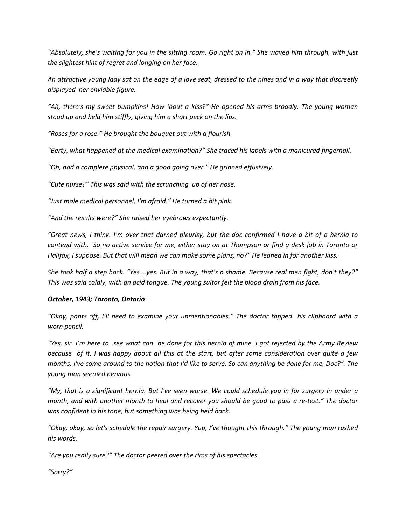*"Absolutely, she's waiting for you in the sitting room. Go right on in." She waved him through, with just the slightest hint of regret and longing on her face.*

*An attractive young lady sat on the edge of a love seat, dressed to the nines and in a way that discreetly displayed her enviable figure.*

*"Ah, there's my sweet bumpkins! How 'bout a kiss?" He opened his arms broadly. The young woman stood up and held him stiffly, giving him a short peck on the lips.*

*"Roses for a rose." He brought the bouquet out with a flourish.*

*"Berty, what happened at the medical examination?" She traced his lapels with a manicured fingernail.*

*"Oh, had a complete physical, and a good going over." He grinned effusively.*

*"Cute nurse?" This was said with the scrunching up of her nose.*

*"Just male medical personnel, I'm afraid." He turned a bit pink.*

*"And the results were?" She raised her eyebrows expectantly.*

*"Great news, I think. I'm over that darned pleurisy, but the doc confirmed I have a bit of a hernia to contend with. So no active service for me, either stay on at Thompson or find a desk job in Toronto or Halifax, I suppose. But that will mean we can make some plans, no?" He leaned in for another kiss.*

*She took half a step back. "Yes….yes. But in a way, that's a shame. Because real men fight, don't they?" This was said coldly, with an acid tongue. The young suitor felt the blood drain from his face.*

### *October, 1943; Toronto, Ontario*

*"Okay, pants off, I'll need to examine your unmentionables." The doctor tapped his clipboard with a worn pencil.*

*"Yes, sir. I'm here to see what can be done for this hernia of mine. I got rejected by the Army Review because of it. I was happy about all this at the start, but after some consideration over quite a few months, I've come around to the notion that I'd like to serve. So can anything be done for me, Doc?". The young man seemed nervous.*

*"My, that is a significant hernia. But I've seen worse. We could schedule you in for surgery in under a month, and with another month to heal and recover you should be good to pass a re-test." The doctor was confident in his tone, but something was being held back.*

*"Okay, okay, so let's schedule the repair surgery. Yup, I've thought this through." The young man rushed his words.*

*"Are you really sure?" The doctor peered over the rims of his spectacles.*

*"Sorry?"*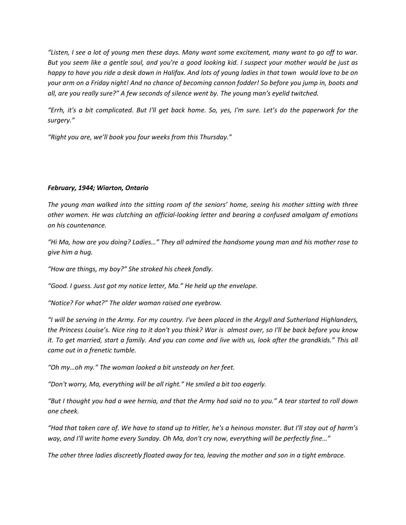*"Listen, I see a lot of young men these days. Many want some excitement, many want to go off to war. But you seem like a gentle soul, and you're a good looking kid. I suspect your mother would be just as happy to have you ride a desk down in Halifax. And lots of young ladies in that town would love to be on your arm on a Friday night! And no chance of becoming cannon fodder! So before you jump in, boots and all, are you really sure?" A few seconds of silence went by. The young man's eyelid twitched.*

*"Errh, it's a bit complicated. But I'll get back home. So, yes, I'm sure. Let's do the paperwork for the surgery."*

*"Right you are, we'll book you four weeks from this Thursday."*

## *February, 1944; Wiarton, Ontario*

*The young man walked into the sitting room of the seniors' home, seeing his mother sitting with three other women. He was clutching an official-looking letter and bearing a confused amalgam of emotions on his countenance.*

*"Hi Ma, how are you doing? Ladies…" They all admired the handsome young man and his mother rose to give him a hug.*

*"How are things, my boy?" She stroked his cheek fondly.*

*"Good. I guess. Just got my notice letter, Ma." He held up the envelope.*

*"Notice? For what?" The older woman raised one eyebrow.*

*"I will be serving in the Army. For my country. I've been placed in the Argyll and Sutherland Highlanders, the Princess Louise's. Nice ring to it don't you think? War is almost over, so I'll be back before you know it. To get married, start a family. And you can come and live with us, look after the grandkids." This all came out in a frenetic tumble.*

*"Oh my…oh my." The woman looked a bit unsteady on her feet.*

*"Don't worry, Ma, everything will be all right." He smiled a bit too eagerly.* 

*"But I thought you had a wee hernia, and that the Army had said no to you." A tear started to roll down one cheek.*

*"Had that taken care of. We have to stand up to Hitler, he's a heinous monster. But I'll stay out of harm's way, and I'll write home every Sunday. Oh Ma, don't cry now, everything will be perfectly fine…"*

*The other three ladies discreetly floated away for tea, leaving the mother and son in a tight embrace.*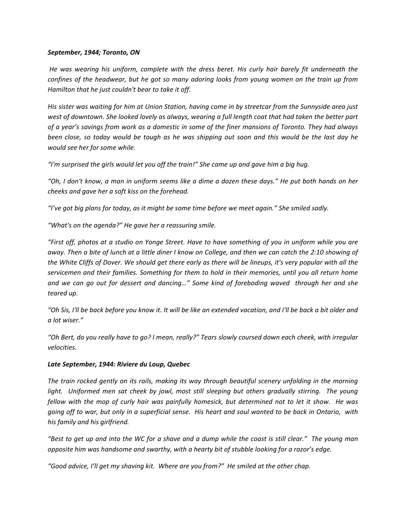#### *September, 1944; Toronto, ON*

*He was wearing his uniform, complete with the dress beret. His curly hair barely fit underneath the confines of the headwear, but he got so many adoring looks from young women on the train up from Hamilton that he just couldn't bear to take it off.*

*His sister was waiting for him at Union Station, having come in by streetcar from the Sunnyside area just west of downtown. She looked lovely as always, wearing a full length coat that had taken the better part of a year's savings from work as a domestic in some of the finer mansions of Toronto. They had always been close, so today would be tough as he was shipping out soon and this would be the last day he would see her for some while.*

*"I'm surprised the girls would let you off the train!" She came up and gave him a big hug.*

*"Oh, I don't know, a man in uniform seems like a dime a dozen these days." He put both hands on her cheeks and gave her a soft kiss on the forehead.*

*"I've got big plans for today, as it might be some time before we meet again." She smiled sadly.*

*"What's on the agenda?" He gave her a reassuring smile.*

*"First off, photos at a studio on Yonge Street. Have to have something of you in uniform while you are away. Then a bite of lunch at a little diner I know on College, and then we can catch the 2:10 showing of the White Cliffs of Dover. We should get there early as there will be lineups, it's very popular with all the servicemen and their families. Something for them to hold in their memories, until you all return home and we can go out for dessert and dancing…" Some kind of foreboding waved through her and she teared up.*

*"Oh Sis, I'll be back before you know it. It will be like an extended vacation, and I'll be back a bit older and a lot wiser."*

*"Oh Bert, do you really have to go? I mean, really?" Tears slowly coursed down each cheek, with irregular velocities.*

### *Late September, 1944: Riviere du Loup, Quebec*

*The train rocked gently on its rails, making its way through beautiful scenery unfolding in the morning light. Uniformed men sat cheek by jowl, most still sleeping but others gradually stirring. The young fellow with the mop of curly hair was painfully homesick, but determined not to let it show. He was going off to war, but only in a superficial sense. His heart and soul wanted to be back in Ontario, with his family and his girlfriend.*

*"Best to get up and into the WC for a shave and a dump while the coast is still clear." The young man opposite him was handsome and swarthy, with a hearty bit of stubble looking for a razor's edge.*

*"Good advice, I'll get my shaving kit. Where are you from?" He smiled at the other chap.*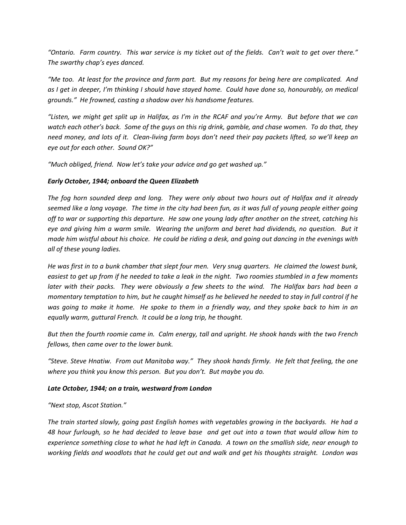*"Ontario. Farm country. This war service is my ticket out of the fields. Can't wait to get over there." The swarthy chap's eyes danced.*

*"Me too. At least for the province and farm part. But my reasons for being here are complicated. And as I get in deeper, I'm thinking I should have stayed home. Could have done so, honourably, on medical grounds." He frowned, casting a shadow over his handsome features.*

*"Listen, we might get split up in Halifax, as I'm in the RCAF and you're Army. But before that we can watch each other's back. Some of the guys on this rig drink, gamble, and chase women. To do that, they need money, and lots of it. Clean-living farm boys don't need their pay packets lifted, so we'll keep an eye out for each other. Sound OK?"*

*"Much obliged, friend. Now let's take your advice and go get washed up."*

#### *Early October, 1944; onboard the Queen Elizabeth*

*The fog horn sounded deep and long. They were only about two hours out of Halifax and it already seemed like a long voyage. The time in the city had been fun, as it was full of young people either going off to war or supporting this departure. He saw one young lady after another on the street, catching his eye and giving him a warm smile. Wearing the uniform and beret had dividends, no question. But it made him wistful about his choice. He could be riding a desk, and going out dancing in the evenings with all of these young ladies.*

*He was first in to a bunk chamber that slept four men. Very snug quarters. He claimed the lowest bunk, easiest to get up from if he needed to take a leak in the night. Two roomies stumbled in a few moments later with their packs. They were obviously a few sheets to the wind. The Halifax bars had been a momentary temptation to him, but he caught himself as he believed he needed to stay in full control if he was going to make it home. He spoke to them in a friendly way, and they spoke back to him in an equally warm, guttural French. It could be a long trip, he thought.*

*But then the fourth roomie came in. Calm energy, tall and upright. He shook hands with the two French fellows, then came over to the lower bunk.*

*"Steve. Steve Hnatiw. From out Manitoba way." They shook hands firmly. He felt that feeling, the one where you think you know this person. But you don't. But maybe you do.*

### *Late October, 1944; on a train, westward from London*

*"Next stop, Ascot Station."*

*The train started slowly, going past English homes with vegetables growing in the backyards. He had a 48 hour furlough, so he had decided to leave base and get out into a town that would allow him to experience something close to what he had left in Canada. A town on the smallish side, near enough to working fields and woodlots that he could get out and walk and get his thoughts straight. London was*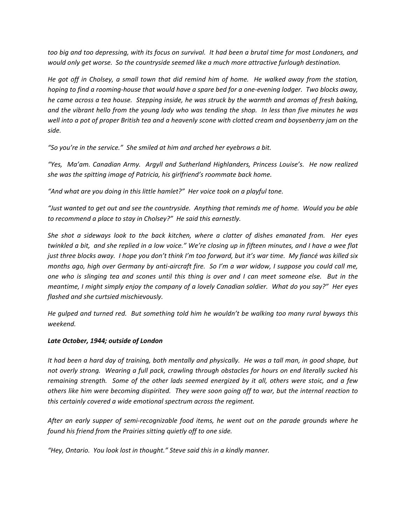*too big and too depressing, with its focus on survival. It had been a brutal time for most Londoners, and would only get worse. So the countryside seemed like a much more attractive furlough destination.*

*He got off in Cholsey, a small town that did remind him of home. He walked away from the station, hoping to find a rooming-house that would have a spare bed for a one-evening lodger. Two blocks away, he came across a tea house. Stepping inside, he was struck by the warmth and aromas of fresh baking, and the vibrant hello from the young lady who was tending the shop. In less than five minutes he was well into a pot of proper British tea and a heavenly scone with clotted cream and boysenberry jam on the side.*

*"So you're in the service." She smiled at him and arched her eyebrows a bit.*

*"Yes, Ma'am. Canadian Army. Argyll and Sutherland Highlanders, Princess Louise's. He now realized she was the spitting image of Patricia, his girlfriend's roommate back home.*

*"And what are you doing in this little hamlet?" Her voice took on a playful tone.*

*"Just wanted to get out and see the countryside. Anything that reminds me of home. Would you be able to recommend a place to stay in Cholsey?" He said this earnestly.*

*She shot a sideways look to the back kitchen, where a clatter of dishes emanated from. Her eyes twinkled a bit, and she replied in a low voice." We're closing up in fifteen minutes, and I have a wee flat just three blocks away. I hope you don't think I'm too forward, but it's war time. My fiancé was killed six months ago, high over Germany by anti-aircraft fire. So I'm a war widow, I suppose you could call me, one who is slinging tea and scones until this thing is over and I can meet someone else. But in the meantime, I might simply enjoy the company of a lovely Canadian soldier. What do you say?" Her eyes flashed and she curtsied mischievously.*

*He gulped and turned red. But something told him he wouldn't be walking too many rural byways this weekend.*

### *Late October, 1944; outside of London*

*It had been a hard day of training, both mentally and physically. He was a tall man, in good shape, but not overly strong. Wearing a full pack, crawling through obstacles for hours on end literally sucked his remaining strength. Some of the other lads seemed energized by it all, others were stoic, and a few others like him were becoming dispirited. They were soon going off to war, but the internal reaction to this certainly covered a wide emotional spectrum across the regiment.*

*After an early supper of semi-recognizable food items, he went out on the parade grounds where he found his friend from the Prairies sitting quietly off to one side.*

*"Hey, Ontario. You look lost in thought." Steve said this in a kindly manner.*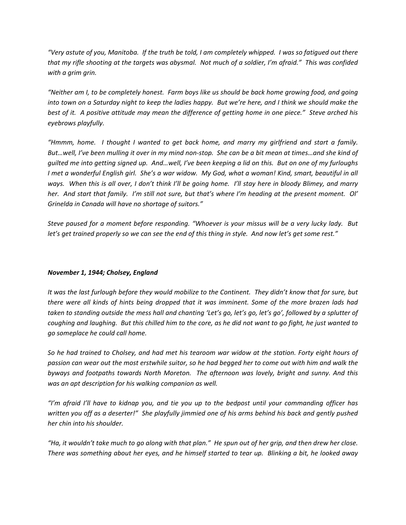*"Very astute of you, Manitoba. If the truth be told, I am completely whipped. I was so fatigued out there that my rifle shooting at the targets was abysmal. Not much of a soldier, I'm afraid." This was confided with a grim grin.*

*"Neither am I, to be completely honest. Farm boys like us should be back home growing food, and going into town on a Saturday night to keep the ladies happy. But we're here, and I think we should make the best of it. A positive attitude may mean the difference of getting home in one piece." Steve arched his eyebrows playfully.*

*"Hmmm, home. I thought I wanted to get back home, and marry my girlfriend and start a family. But…well, I've been mulling it over in my mind non-stop. She can be a bit mean at times…and she kind of guilted me into getting signed up. And…well, I've been keeping a lid on this. But on one of my furloughs I met a wonderful English girl. She's a war widow. My God, what a woman! Kind, smart, beautiful in all ways. When this is all over, I don't think I'll be going home. I'll stay here in bloody Blimey, and marry her. And start that family. I'm still not sure, but that's where I'm heading at the present moment. Ol' Grinelda in Canada will have no shortage of suitors."*

*Steve paused for a moment before responding. "Whoever is your missus will be a very lucky lady. But let's get trained properly so we can see the end of this thing in style. And now let's get some rest."*

### *November 1, 1944; Cholsey, England*

*It was the last furlough before they would mobilize to the Continent. They didn't know that for sure, but there were all kinds of hints being dropped that it was imminent. Some of the more brazen lads had taken to standing outside the mess hall and chanting 'Let's go, let's go, let's go', followed by a splutter of coughing and laughing. But this chilled him to the core, as he did not want to go fight, he just wanted to go someplace he could call home.*

*So he had trained to Cholsey, and had met his tearoom war widow at the station. Forty eight hours of passion can wear out the most erstwhile suitor, so he had begged her to come out with him and walk the byways and footpaths towards North Moreton. The afternoon was lovely, bright and sunny. And this was an apt description for his walking companion as well.*

*"I'm afraid I'll have to kidnap you, and tie you up to the bedpost until your commanding officer has written you off as a deserter!" She playfully jimmied one of his arms behind his back and gently pushed her chin into his shoulder.*

*"Ha, it wouldn't take much to go along with that plan." He spun out of her grip, and then drew her close. There was something about her eyes, and he himself started to tear up. Blinking a bit, he looked away*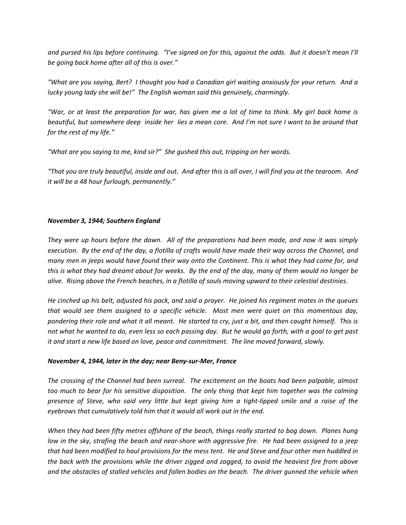*and pursed his lips before continuing. "I've signed on for this, against the odds. But it doesn't mean I'll be going back home after all of this is over."*

*"What are you saying, Bert? I thought you had a Canadian girl waiting anxiously for your return. And a lucky young lady she will be!" The English woman said this genuinely, charmingly.*

*"War, or at least the preparation for war, has given me a lot of time to think. My girl back home is beautiful, but somewhere deep inside her lies a mean core. And I'm not sure I want to be around that for the rest of my life."*

*"What are you saying to me, kind sir?" She gushed this out, tripping on her words.*

*"That you are truly beautiful, inside and out. And after this is all over, I will find you at the tearoom. And it will be a 48 hour furlough, permanently."*

### *November 3, 1944; Southern England*

*They were up hours before the dawn. All of the preparations had been made, and now it was simply execution. By the end of the day, a flotilla of crafts would have made their way across the Channel, and many men in jeeps would have found their way onto the Continent. This is what they had come for, and this is what they had dreamt about for weeks. By the end of the day, many of them would no longer be alive. Rising above the French beaches, in a flotilla of souls moving upward to their celestial destinies.*

*He cinched up his belt, adjusted his pack, and said a prayer. He joined his regiment mates in the queues that would see them assigned to a specific vehicle. Most men were quiet on this momentous day, pondering their role and what it all meant. He started to cry, just a bit, and then caught himself. This is not what he wanted to do, even less so each passing day. But he would go forth, with a goal to get past it and start a new life based on love, peace and commitment. The line moved forward, slowly.*

### *November 4, 1944, later in the day; near Beny-sur-Mer, France*

*The crossing of the Channel had been surreal. The excitement on the boats had been palpable, almost too much to bear for his sensitive disposition. The only thing that kept him together was the calming presence of Steve, who said very little but kept giving him a tight-lipped smile and a raise of the eyebrows that cumulatively told him that it would all work out in the end.*

*When they had been fifty metres offshore of the beach, things really started to bog down. Planes hung low in the sky, strafing the beach and near-shore with aggressive fire. He had been assigned to a jeep that had been modified to haul provisions for the mess tent. He and Steve and four other men huddled in the back with the provisions while the driver zigged and zagged, to avoid the heaviest fire from above and the obstacles of stalled vehicles and fallen bodies on the beach. The driver gunned the vehicle when*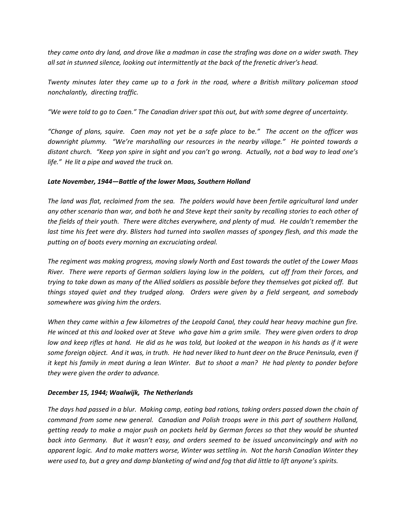*they came onto dry land, and drove like a madman in case the strafing was done on a wider swath. They all sat in stunned silence, looking out intermittently at the back of the frenetic driver's head.*

*Twenty minutes later they came up to a fork in the road, where a British military policeman stood nonchalantly, directing traffic.*

*"We were told to go to Caen." The Canadian driver spat this out, but with some degree of uncertainty.*

*"Change of plans, squire. Caen may not yet be a safe place to be." The accent on the officer was downright plummy. "We're marshalling our resources in the nearby village." He pointed towards a distant church. "Keep yon spire in sight and you can't go wrong. Actually, not a bad way to lead one's life." He lit a pipe and waved the truck on.*

### *Late November, 1944—Battle of the lower Maas, Southern Holland*

*The land was flat, reclaimed from the sea. The polders would have been fertile agricultural land under any other scenario than war, and both he and Steve kept their sanity by recalling stories to each other of the fields of their youth. There were ditches everywhere, and plenty of mud. He couldn't remember the*  last time his feet were dry. Blisters had turned into swollen masses of spongey flesh, and this made the *putting on of boots every morning an excruciating ordeal.*

*The regiment was making progress, moving slowly North and East towards the outlet of the Lower Maas River. There were reports of German soldiers laying low in the polders, cut off from their forces, and trying to take down as many of the Allied soldiers as possible before they themselves got picked off. But things stayed quiet and they trudged along. Orders were given by a field sergeant, and somebody somewhere was giving him the orders.*

*When they came within a few kilometres of the Leopold Canal, they could hear heavy machine gun fire. He winced at this and looked over at Steve who gave him a grim smile. They were given orders to drop*  low and keep rifles at hand. He did as he was told, but looked at the weapon in his hands as if it were *some foreign object. And it was, in truth. He had never liked to hunt deer on the Bruce Peninsula, even if it kept his family in meat during a lean Winter. But to shoot a man? He had plenty to ponder before they were given the order to advance.*

### *December 15, 1944; Waalwijk, The Netherlands*

*The days had passed in a blur. Making camp, eating bad rations, taking orders passed down the chain of command from some new general. Canadian and Polish troops were in this part of southern Holland, getting ready to make a major push on pockets held by German forces so that they would be shunted back into Germany. But it wasn't easy, and orders seemed to be issued unconvincingly and with no apparent logic. And to make matters worse, Winter was settling in. Not the harsh Canadian Winter they were used to, but a grey and damp blanketing of wind and fog that did little to lift anyone's spirits.*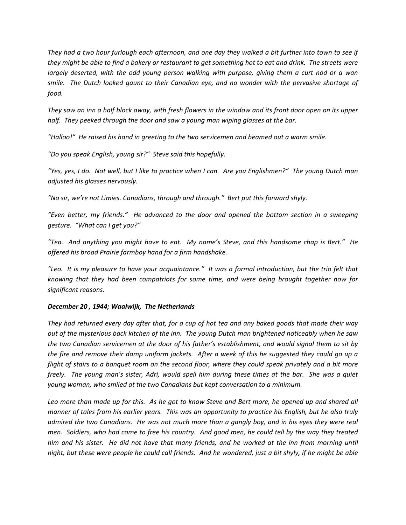*They had a two hour furlough each afternoon, and one day they walked a bit further into town to see if they might be able to find a bakery or restaurant to get something hot to eat and drink. The streets were largely deserted, with the odd young person walking with purpose, giving them a curt nod or a wan smile. The Dutch looked gaunt to their Canadian eye, and no wonder with the pervasive shortage of food.*

*They saw an inn a half block away, with fresh flowers in the window and its front door open on its upper half. They peeked through the door and saw a young man wiping glasses at the bar.*

*"Halloo!" He raised his hand in greeting to the two servicemen and beamed out a warm smile.*

*"Do you speak English, young sir?" Steve said this hopefully.*

*"Yes, yes, I do. Not well, but I like to practice when I can. Are you Englishmen?" The young Dutch man adjusted his glasses nervously.*

*"No sir, we're not Limies. Canadians, through and through." Bert put this forward shyly.*

*"Even better, my friends." He advanced to the door and opened the bottom section in a sweeping gesture. "What can I get you?"*

*"Tea. And anything you might have to eat. My name's Steve, and this handsome chap is Bert." He offered his broad Prairie farmboy hand for a firm handshake.*

*"Leo. It is my pleasure to have your acquaintance." It was a formal introduction, but the trio felt that knowing that they had been compatriots for some time, and were being brought together now for significant reasons.*

# *December 20 , 1944; Waalwijk, The Netherlands*

*They had returned every day after that, for a cup of hot tea and any baked goods that made their way out of the mysterious back kitchen of the inn. The young Dutch man brightened noticeably when he saw the two Canadian servicemen at the door of his father's establishment, and would signal them to sit by the fire and remove their damp uniform jackets. After a week of this he suggested they could go up a flight of stairs to a banquet room on the second floor, where they could speak privately and a bit more freely. The young man's sister, Adri, would spell him during these times at the bar. She was a quiet young woman, who smiled at the two Canadians but kept conversation to a minimum.*

*Leo more than made up for this. As he got to know Steve and Bert more, he opened up and shared all manner of tales from his earlier years. This was an opportunity to practice his English, but he also truly admired the two Canadians. He was not much more than a gangly boy, and in his eyes they were real men. Soldiers, who had come to free his country. And good men, he could tell by the way they treated*  him and his sister. He did not have that many friends, and he worked at the inn from morning until *night, but these were people he could call friends. And he wondered, just a bit shyly, if he might be able*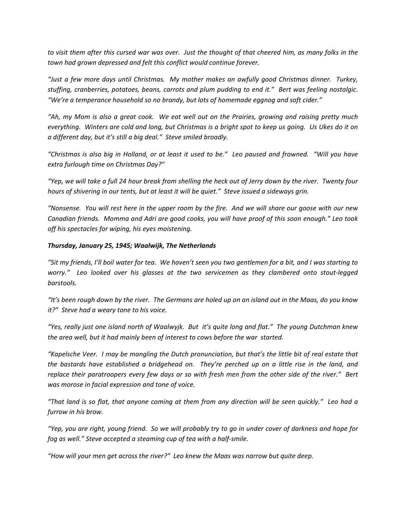*to visit them after this cursed war was over. Just the thought of that cheered him, as many folks in the town had grown depressed and felt this conflict would continue forever.*

*"Just a few more days until Christmas. My mother makes an awfully good Christmas dinner. Turkey, stuffing, cranberries, potatoes, beans, carrots and plum pudding to end it." Bert was feeling nostalgic. "We're a temperance household so no brandy, but lots of homemade eggnog and soft cider."*

*"Ah, my Mom is also a great cook. We eat well out on the Prairies, growing and raising pretty much everything. Winters are cold and long, but Christmas is a bright spot to keep us going. Us Ukes do it on a different day, but it's still a big deal." Steve smiled broadly.*

*"Christmas is also big in Holland, or at least it used to be." Leo paused and frowned. "Will you have extra furlough time on Christmas Day?"*

*"Yep, we will take a full 24 hour break from shelling the heck out of Jerry down by the river. Twenty four hours of shivering in our tents, but at least it will be quiet." Steve issued a sideways grin.*

*"Nonsense. You will rest here in the upper room by the fire. And we will share our goose with our new Canadian friends. Momma and Adri are good cooks, you will have proof of this soon enough." Leo took off his spectacles for wiping, his eyes moistening.*

### *Thursday, January 25, 1945; Waalwijk, The Netherlands*

*"Sit my friends, I'll boil water for tea. We haven't seen you two gentlemen for a bit, and I was starting to worry." Leo looked over his glasses at the two servicemen as they clambered onto stout-legged barstools.*

*"It's been rough down by the river. The Germans are holed up on an island out in the Maas, do you know it?" Steve had a weary tone to his voice.*

*"Yes, really just one island north of Waalwyjk. But it's quite long and flat." The young Dutchman knew the area well, but it had mainly been of interest to cows before the war started.*

*"Kapelsche Veer. I may be mangling the Dutch pronunciation, but that's the little bit of real estate that the bastards have established a bridgehead on. They're perched up on a little rise in the land, and replace their paratroopers every few days or so with fresh men from the other side of the river." Bert was morose in facial expression and tone of voice.*

*"That land is so flat, that anyone coming at them from any direction will be seen quickly." Leo had a furrow in his brow.*

*"Yep, you are right, young friend. So we will probably try to go in under cover of darkness and hope for fog as well." Steve accepted a steaming cup of tea with a half-smile.*

*"How will your men get across the river?" Leo knew the Maas was narrow but quite deep.*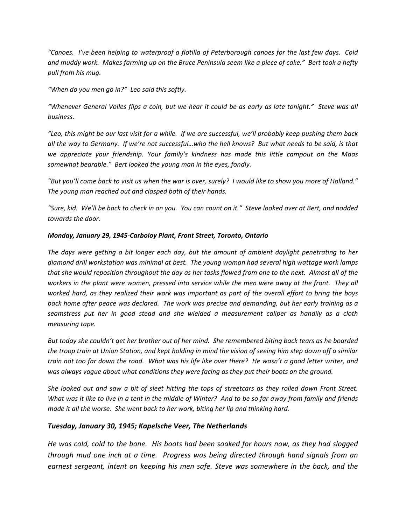*"Canoes. I've been helping to waterproof a flotilla of Peterborough canoes for the last few days. Cold and muddy work. Makes farming up on the Bruce Peninsula seem like a piece of cake." Bert took a hefty pull from his mug.*

*"When do you men go in?" Leo said this softly.*

*"Whenever General Volles flips a coin, but we hear it could be as early as late tonight." Steve was all business.*

*"Leo, this might be our last visit for a while. If we are successful, we'll probably keep pushing them back all the way to Germany. If we're not successful…who the hell knows? But what needs to be said, is that we appreciate your friendship. Your family's kindness has made this little campout on the Maas somewhat bearable." Bert looked the young man in the eyes, fondly.*

*"But you'll come back to visit us when the war is over, surely? I would like to show you more of Holland." The young man reached out and clasped both of their hands.*

*"Sure, kid. We'll be back to check in on you. You can count on it." Steve looked over at Bert, and nodded towards the door.*

## *Monday, January 29, 1945-Carboloy Plant, Front Street, Toronto, Ontario*

*The days were getting a bit longer each day, but the amount of ambient daylight penetrating to her diamond drill workstation was minimal at best. The young woman had several high wattage work lamps that she would reposition throughout the day as her tasks flowed from one to the next. Almost all of the workers in the plant were women, pressed into service while the men were away at the front. They all worked hard, as they realized their work was important as part of the overall effort to bring the boys back home after peace was declared. The work was precise and demanding, but her early training as a seamstress put her in good stead and she wielded a measurement caliper as handily as a cloth measuring tape.*

*But today she couldn't get her brother out of her mind. She remembered biting back tears as he boarded the troop train at Union Station, and kept holding in mind the vision of seeing him step down off a similar train not too far down the road. What was his life like over there? He wasn't a good letter writer, and was always vague about what conditions they were facing as they put their boots on the ground.*

*She looked out and saw a bit of sleet hitting the tops of streetcars as they rolled down Front Street. What was it like to live in a tent in the middle of Winter? And to be so far away from family and friends made it all the worse. She went back to her work, biting her lip and thinking hard.*

# *Tuesday, January 30, 1945; Kapelsche Veer, The Netherlands*

*He was cold, cold to the bone. His boots had been soaked for hours now, as they had slogged through mud one inch at a time. Progress was being directed through hand signals from an earnest sergeant, intent on keeping his men safe. Steve was somewhere in the back, and the*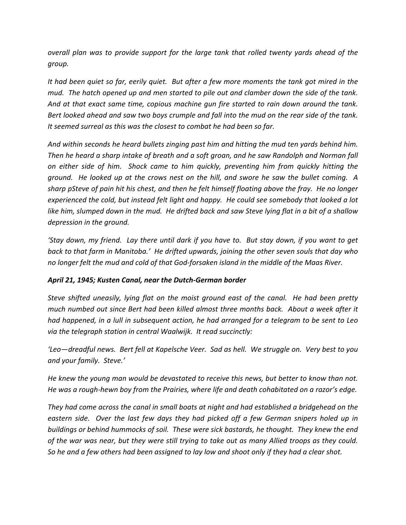*overall plan was to provide support for the large tank that rolled twenty yards ahead of the group.*

*It had been quiet so far, eerily quiet. But after a few more moments the tank got mired in the mud. The hatch opened up and men started to pile out and clamber down the side of the tank. And at that exact same time, copious machine gun fire started to rain down around the tank. Bert looked ahead and saw two boys crumple and fall into the mud on the rear side of the tank. It seemed surreal as this was the closest to combat he had been so far.*

*And within seconds he heard bullets zinging past him and hitting the mud ten yards behind him. Then he heard a sharp intake of breath and a soft groan, and he saw Randolph and Norman fall on either side of him. Shock came to him quickly, preventing him from quickly hitting the ground. He looked up at the crows nest on the hill, and swore he saw the bullet coming. A sharp pSteve of pain hit his chest, and then he felt himself floating above the fray. He no longer experienced the cold, but instead felt light and happy. He could see somebody that looked a lot like him, slumped down in the mud. He drifted back and saw Steve lying flat in a bit of a shallow depression in the ground.*

*'Stay down, my friend. Lay there until dark if you have to. But stay down, if you want to get back to that farm in Manitoba.' He drifted upwards, joining the other seven souls that day who no longer felt the mud and cold of that God-forsaken island in the middle of the Maas River.*

# *April 21, 1945; Kusten Canal, near the Dutch-German border*

*Steve shifted uneasily, lying flat on the moist ground east of the canal. He had been pretty much numbed out since Bert had been killed almost three months back. About a week after it had happened, in a lull in subsequent action, he had arranged for a telegram to be sent to Leo via the telegraph station in central Waalwijk. It read succinctly:*

*'Leo—dreadful news. Bert fell at Kapelsche Veer. Sad as hell. We struggle on. Very best to you and your family. Steve.'*

*He knew the young man would be devastated to receive this news, but better to know than not. He was a rough-hewn boy from the Prairies, where life and death cohabitated on a razor's edge.*

*They had come across the canal in small boats at night and had established a bridgehead on the eastern side. Over the last few days they had picked off a few German snipers holed up in buildings or behind hummocks of soil. These were sick bastards, he thought. They knew the end of the war was near, but they were still trying to take out as many Allied troops as they could. So he and a few others had been assigned to lay low and shoot only if they had a clear shot.*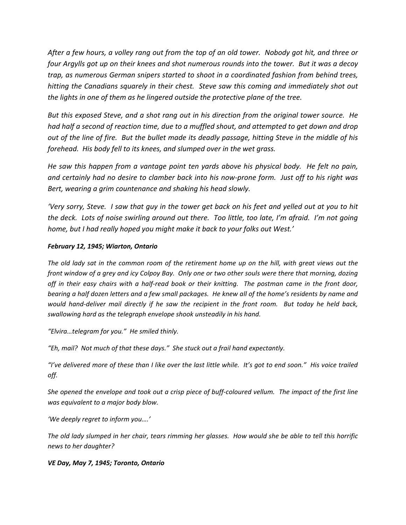*After a few hours, a volley rang out from the top of an old tower. Nobody got hit, and three or four Argylls got up on their knees and shot numerous rounds into the tower. But it was a decoy trap, as numerous German snipers started to shoot in a coordinated fashion from behind trees, hitting the Canadians squarely in their chest. Steve saw this coming and immediately shot out the lights in one of them as he lingered outside the protective plane of the tree.*

*But this exposed Steve, and a shot rang out in his direction from the original tower source. He had half a second of reaction time, due to a muffled shout, and attempted to get down and drop out of the line of fire. But the bullet made its deadly passage, hitting Steve in the middle of his forehead. His body fell to its knees, and slumped over in the wet grass.*

*He saw this happen from a vantage point ten yards above his physical body. He felt no pain, and certainly had no desire to clamber back into his now-prone form. Just off to his right was Bert, wearing a grim countenance and shaking his head slowly.*

*'Very sorry, Steve. I saw that guy in the tower get back on his feet and yelled out at you to hit the deck. Lots of noise swirling around out there. Too little, too late, I'm afraid. I'm not going home, but I had really hoped you might make it back to your folks out West.'*

# *February 12, 1945; Wiarton, Ontario*

*The old lady sat in the common room of the retirement home up on the hill, with great views out the front window of a grey and icy Colpoy Bay. Only one or two other souls were there that morning, dozing off in their easy chairs with a half-read book or their knitting. The postman came in the front door, bearing a half dozen letters and a few small packages. He knew all of the home's residents by name and would hand-deliver mail directly if he saw the recipient in the front room. But today he held back, swallowing hard as the telegraph envelope shook unsteadily in his hand.*

*"Elvira…telegram for you." He smiled thinly.*

*"Eh, mail? Not much of that these days." She stuck out a frail hand expectantly.*

*"I've delivered more of these than I like over the last little while. It's got to end soon." His voice trailed off.*

*She opened the envelope and took out a crisp piece of buff-coloured vellum. The impact of the first line was equivalent to a major body blow.*

*'We deeply regret to inform you….'*

*The old lady slumped in her chair, tears rimming her glasses. How would she be able to tell this horrific news to her daughter?*

# *VE Day, May 7, 1945; Toronto, Ontario*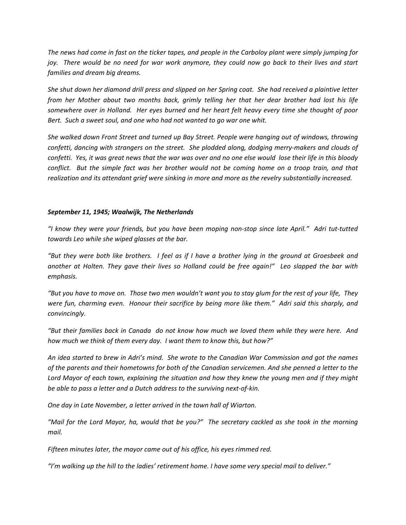*The news had come in fast on the ticker tapes, and people in the Carboloy plant were simply jumping for joy. There would be no need for war work anymore, they could now go back to their lives and start families and dream big dreams.*

*She shut down her diamond drill press and slipped on her Spring coat. She had received a plaintive letter from her Mother about two months back, grimly telling her that her dear brother had lost his life somewhere over in Holland. Her eyes burned and her heart felt heavy every time she thought of poor Bert. Such a sweet soul, and one who had not wanted to go war one whit.*

*She walked down Front Street and turned up Bay Street. People were hanging out of windows, throwing confetti, dancing with strangers on the street. She plodded along, dodging merry-makers and clouds of confetti. Yes, it was great news that the war was over and no one else would lose their life in this bloody conflict. But the simple fact was her brother would not be coming home on a troop train, and that realization and its attendant grief were sinking in more and more as the revelry substantially increased.*

### *September 11, 1945; Waalwijk, The Netherlands*

*"I know they were your friends, but you have been moping non-stop since late April." Adri tut-tutted towards Leo while she wiped glasses at the bar.*

*"But they were both like brothers. I feel as if I have a brother lying in the ground at Groesbeek and another at Holten. They gave their lives so Holland could be free again!" Leo slapped the bar with emphasis.*

*"But you have to move on. Those two men wouldn't want you to stay glum for the rest of your life, They were fun, charming even. Honour their sacrifice by being more like them." Adri said this sharply, and convincingly.*

*"But their families back in Canada do not know how much we loved them while they were here. And how much we think of them every day. I want them to know this, but how?"*

*An idea started to brew in Adri's mind. She wrote to the Canadian War Commission and got the names of the parents and their hometowns for both of the Canadian servicemen. And she penned a letter to the Lord Mayor of each town, explaining the situation and how they knew the young men and if they might be able to pass a letter and a Dutch address to the surviving next-of-kin.*

*One day in Late November, a letter arrived in the town hall of Wiarton.*

*"Mail for the Lord Mayor, ha, would that be you?" The secretary cackled as she took in the morning mail.*

*Fifteen minutes later, the mayor came out of his office, his eyes rimmed red.*

*"I'm walking up the hill to the ladies' retirement home. I have some very special mail to deliver."*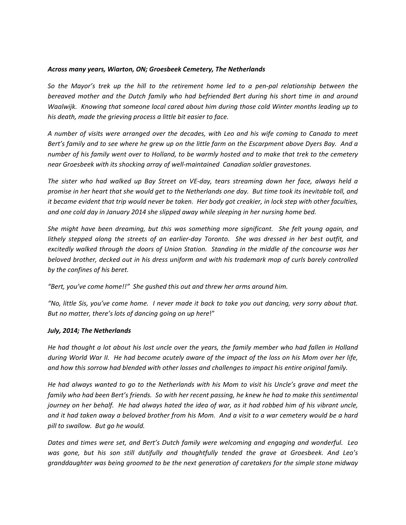#### *Across many years, Wiarton, ON; Groesbeek Cemetery, The Netherlands*

*So the Mayor's trek up the hill to the retirement home led to a pen-pal relationship between the bereaved mother and the Dutch family who had befriended Bert during his short time in and around Waalwijk. Knowing that someone local cared about him during those cold Winter months leading up to his death, made the grieving process a little bit easier to face.*

*A number of visits were arranged over the decades, with Leo and his wife coming to Canada to meet Bert's family and to see where he grew up on the little farm on the Escarpment above Dyers Bay. And a number of his family went over to Holland, to be warmly hosted and to make that trek to the cemetery near Groesbeek with its shocking array of well-maintained Canadian soldier gravestones.*

*The sister who had walked up Bay Street on VE-day, tears streaming down her face, always held a promise in her heart that she would get to the Netherlands one day. But time took its inevitable toll, and it became evident that trip would never be taken. Her body got creakier, in lock step with other faculties, and one cold day in January 2014 she slipped away while sleeping in her nursing home bed.*

*She might have been dreaming, but this was something more significant. She felt young again, and lithely stepped along the streets of an earlier-day Toronto. She was dressed in her best outfit, and excitedly walked through the doors of Union Station. Standing in the middle of the concourse was her beloved brother, decked out in his dress uniform and with his trademark mop of curls barely controlled by the confines of his beret.*

*"Bert, you've come home!!" She gushed this out and threw her arms around him.*

*"No, little Sis, you've come home. I never made it back to take you out dancing, very sorry about that. But no matter, there's lots of dancing going on up here*!"

#### *July, 2014; The Netherlands*

*He had thought a lot about his lost uncle over the years, the family member who had fallen in Holland during World War II. He had become acutely aware of the impact of the loss on his Mom over her life, and how this sorrow had blended with other losses and challenges to impact his entire original family.*

*He had always wanted to go to the Netherlands with his Mom to visit his Uncle's grave and meet the family who had been Bert's friends. So with her recent passing, he knew he had to make this sentimental journey on her behalf. He had always hated the idea of war, as it had robbed him of his vibrant uncle, and it had taken away a beloved brother from his Mom. And a visit to a war cemetery would be a hard pill to swallow. But go he would.*

*Dates and times were set, and Bert's Dutch family were welcoming and engaging and wonderful. Leo was gone, but his son still dutifully and thoughtfully tended the grave at Groesbeek. And Leo's granddaughter was being groomed to be the next generation of caretakers for the simple stone midway*